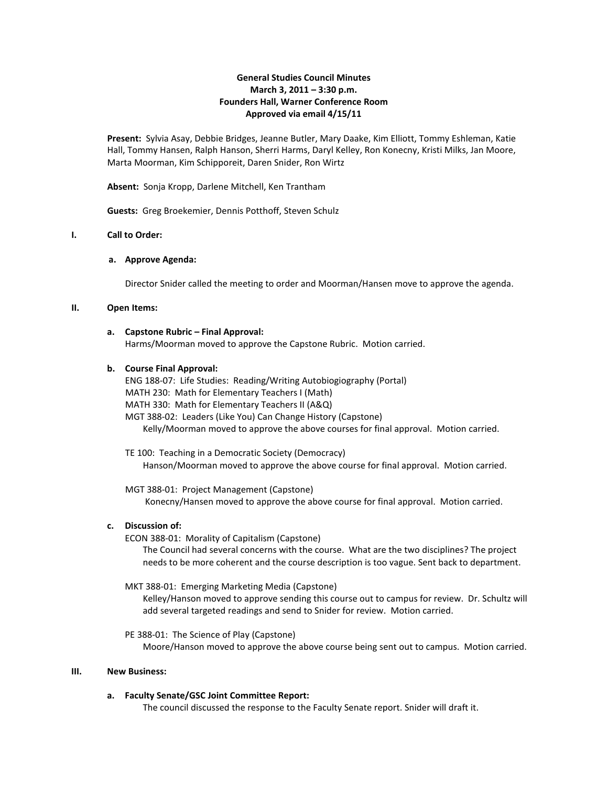## **General Studies Council Minutes March 3, 2011 – 3:30 p.m. Founders Hall, Warner Conference Room Approved via email 4/15/11**

**Present:** Sylvia Asay, Debbie Bridges, Jeanne Butler, Mary Daake, Kim Elliott, Tommy Eshleman, Katie Hall, Tommy Hansen, Ralph Hanson, Sherri Harms, Daryl Kelley, Ron Konecny, Kristi Milks, Jan Moore, Marta Moorman, Kim Schipporeit, Daren Snider, Ron Wirtz

**Absent:** Sonja Kropp, Darlene Mitchell, Ken Trantham

**Guests:** Greg Broekemier, Dennis Potthoff, Steven Schulz

#### **I. Call to Order:**

#### **a. Approve Agenda:**

Director Snider called the meeting to order and Moorman/Hansen move to approve the agenda.

#### **II. Open Items:**

### **a. Capstone Rubric – Final Approval:**

Harms/Moorman moved to approve the Capstone Rubric. Motion carried.

#### **b. Course Final Approval:**

ENG 188-07: Life Studies: Reading/Writing Autobiogiography (Portal) MATH 230: Math for Elementary Teachers I (Math) MATH 330: Math for Elementary Teachers II (A&Q) MGT 388-02: Leaders (Like You) Can Change History (Capstone) Kelly/Moorman moved to approve the above courses for final approval. Motion carried.

 TE 100: Teaching in a Democratic Society (Democracy) Hanson/Moorman moved to approve the above course for final approval. Motion carried.

 MGT 388-01: Project Management (Capstone) Konecny/Hansen moved to approve the above course for final approval. Motion carried.

#### **c. Discussion of:**

ECON 388-01: Morality of Capitalism (Capstone)

The Council had several concerns with the course. What are the two disciplines? The project needs to be more coherent and the course description is too vague. Sent back to department.

#### MKT 388-01: Emerging Marketing Media (Capstone)

Kelley/Hanson moved to approve sending this course out to campus for review. Dr. Schultz will add several targeted readings and send to Snider for review. Motion carried.

PE 388-01: The Science of Play (Capstone)

Moore/Hanson moved to approve the above course being sent out to campus. Motion carried.

## **III. New Business:**

#### **a. Faculty Senate/GSC Joint Committee Report:**

The council discussed the response to the Faculty Senate report. Snider will draft it.